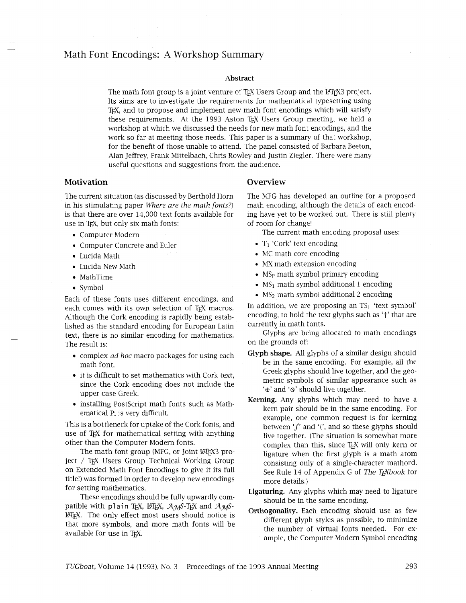# Math Font Encodings: A Workshop Summary

#### **Abstract**

The math font group is a joint venture of TEX Users Group and the LIEX3 project. Its aims are to investigate the requirements for mathematical typesetting using T<sub>E</sub>X, and to propose and implement new math font encodings which will satisfy these requirements. At the 1993 Aston TEX Users Group meeting, we held a workshop at which we discussed the needs for new math font encodings, and the work so far at meeting those needs. This paper is a summary of that workshop, for the benefit of those unable to attend. The panel consisted of Barbara Beeton, Alan Jeffrey, Frank Mittelbach, Chris Rowley and Justin Ziegler. There were many useful questions and suggestions from the audience.

### **Motivation**

The current situation (as discussed by Berthold Horn in his stimulating paper Where are the math fonts?) is that there are over 14,000 text fonts available for use in T<sub>EX</sub>, but only six math fonts:

- Computer Modern
- Computer Concrete and Euler
- Lucida Math
- Lucida New Math
- MathTime
- Symbol

Each of these fonts uses different encodings, and each comes with its own selection of TFX macros. Although the Cork encoding is rapidly being established as the standard encoding for European Latin text, there is no similar encoding for mathematics. The result is:

- complex *ad* **hoc** macro packages for using each math font.
- it is difficult to set mathematics with Cork text, since the Cork encoding does not include the upper case Greek.
- installing PostScript math fonts such as Mathematical Pi is very difficult.

This is a bottleneck for uptake of the Cork fonts, and use of T<sub>F</sub>X for mathematical setting with anything other than the Computer Modern fonts.

The math font group (MFG, or Joint IATFX3 project / TEX Users Group Technical Working Group on Extended Math Font Encodings to give it its full title!) was formed in order to develop new encodings for setting mathematics.

These encodings should be fully upwardly compatible with plain TEX,  $MFEX$ ,  $AMS-TEX$  and  $AMS-TEX$ LATEX. The only effect most users should notice is that more symbols, and more math fonts will be available for use in T<sub>F</sub>X.

#### **Overview**

The MFG has developed an outline for a proposed math encoding, although the details of each encoding have yet to be worked out. There is still plenty of room for change!

The current math encoding proposal uses:

- $\bullet$  T<sub>1</sub> 'Cork' text encoding
- MC math core encoding
- MX math extension encoding
- MS<sub>p</sub> math symbol primary encoding
- MS<sub>1</sub> math symbol additional 1 encoding
- MS<sub>2</sub> math symbol additional 2 encoding

In addition, we are proposing an  $TS_1$  'text symbol' encoding, to hold the text glyphs such as 't' that are currently in math fonts.

Glyphs are being allocated to math encodings on the grounds of:

- **Glyph shape.** All glyphs of a similar design should be in the same encoding. For example, all the Greek glyphs should live together, and the geometric symbols of similar appearance such as '@' and **'8'** should live together.
- **Kerning.** Any glyphs which may need to have a kern pair should be in the same encoding. For example, one common request is for kerning between 'f' and '(', and so these glyphs should live together. (The situation is somewhat more complex than this, since TEX will only kern or ligature when the first glyph is a math atom consisting only of a single-character mathord. See Rule 14 of Appendix G of The T<sub>E</sub>Xbook for more details.)
- **Ligaturing.** Any glyphs which may need to ligature should be in the same encoding.
- **Orthogonality.** Each encoding should use as few different glyph styles as possible, to minimize the number of virtual fonts needed. For example, the Computer Modern Symbol encoding

**TUGboat, Volume 14 (1993), No. 3 – Proceedings of the 1993 Annual Meeting 293**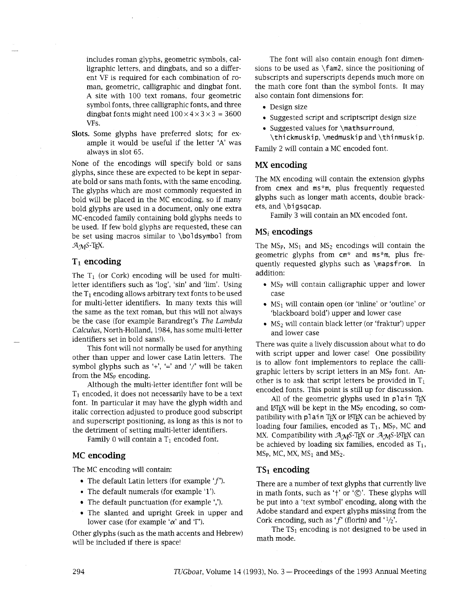includes roman glyphs, geometric symbols, calligraphic letters, and dingbats, and so a different VF is required for each combination of roman, geometric, calligraphic and dingbat font. A site with 100 text romans, four geometric symbol fonts, three calligraphic fonts, and three dingbat fonts might need  $100 \times 4 \times 3 \times 3 = 3600$ VFs.

**Slots.** Some glyphs have preferred slots; for example it would be useful if the letter 'A' was always in slot 65.

None of the encodings will specify bold or sans glyphs, since these are expected to be kept in separate bold or sans math fonts, with the same encoding. The glyphs which are most commonly requested in bold will be placed in the MC encoding, so if many bold glyphs are used in a document, only one extra MC-encoded family containing bold glyphs needs to be used. If few bold glyphs are requested, these can be set using macros similar to \boldsymbol from  $\mathcal{A}_{\mathcal{M}}$ S-T<sub>F</sub>X.

# **TI encoding**

The  $T_1$  (or Cork) encoding will be used for multiletter identifiers such as 'log', 'sin' and 'lim'. Using the  $T_1$  encoding allows arbitrary text fonts to be used for multi-letter identifiers. In many texts this will the same as the text roman, but this will not always be the case (for example Barandregt's The *Lambda Calculus,* North-Holland, 1984, has some multi-letter identifiers set in bold sans!).

This font will not normally be used for anything other than upper and lower case Latin letters. The symbol glyphs such as  $\div$ ,  $\div$  and  $\div$  will be taken from the  $MS_P$  encoding.

Although the multi-letter identifier font will be  $T_1$  encoded, it does not necessarily have to be a text font. In particular it may have the glyph width and italic correction adjusted to produce good subscript and superscript positioning, as long as this is not to the detriment of setting multi-letter identifiers.

Family 0 will contain a  $T_1$  encoded font.

### **MC encoding**

The MC encoding will contain:

- The default Latin letters (for example  $'f'$ ).
- The default numerals (for example '1').
- The default punctuation (for example ',').
- The slanted and upright Greek in upper and lower case (for example  $\alpha'$  and  $T'$ ).

Other glyphs (such as the math accents and Hebrew) will be included if there is space!

The font will also contain enough font dimensions to be used as \fam2, since the positioning of subscripts and superscripts depends much more on the math core font than the symbol fonts. It may also contain font dimensions for:

- Design size
- Suggested script and scriptscript design size
- Suggested values for \mathsurround, \thi ckmuski p, \medmuskip and \thi nmuskip.

Family 2 will contain a MC encoded font.

### **MX encoding**

The MX encoding will contain the extension glyphs from cmex and ms\*m, plus frequently requested glyphs such as longer math accents, double brackets, and \bi gsqcap.

Family 3 will contain an MX encoded font.

### **MSi encodings**

The  $MS_P$ ,  $MS_1$  and  $MS_2$  encodings will contain the geometric glyphs from cm\* and ms\*m, plus frequently requested glyphs such as \mapsfrom. In addition:

- $\bullet$  MS<sub>p</sub> will contain calligraphic upper and lower case
- $\bullet$  MS<sub>1</sub> will contain open (or 'inline' or 'outline' or 'blackboard bold') upper and lower case
- MS<sub>2</sub> will contain black letter (or 'fraktur') upper and lower case

There was quite a lively discussion about what to do with script upper and lower case! One possibility is to allow font implementors to replace the calligraphic letters by script letters in an MSp font. Another is to ask that script letters be provided in  $T_1$ encoded fonts. This point is still up for discussion.

All of the geometric glyphs used in plain TEX and  $\mathbb{M}$ <sub>F</sub>X will be kept in the MS<sub>P</sub> encoding, so compatibility with plain TEX or LATEX can be achieved by loading four families, encoded as  $T_1$ , MS<sub>P</sub>, MC and MX. Compatibility with  $A_{\mathcal{M}}S$ -T<sub>E</sub>X or  $A_{\mathcal{M}}S$ -L<sup>T</sup>EX can be achieved by loading six families, encoded as  $T_1$ ,  $MS<sub>P</sub>$ , MC, MX, MS<sub>1</sub> and MS<sub>2</sub>.

## **TS<sub>1</sub> encoding**

There are a number of text glyphs that currently live in math fonts, such as 't' or ' $\circ$ '. These glyphs will be put into a 'text symbol' encoding, along with the Adobe standard and expert glyphs missing from the Cork encoding, such as 'f' (florin) and ' $1/2$ '.

The  $TS_1$  encoding is not designed to be used in math mode.